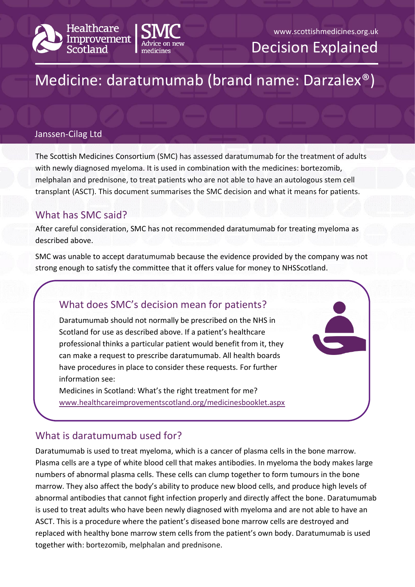



Decision Explained

# Medicine: daratumumab (brand name: Darzalex®)

#### Janssen-Cilag Ltd

The Scottish Medicines Consortium (SMC) has assessed daratumumab for the treatment of adults with newly diagnosed myeloma. It is used in combination with the medicines: bortezomib, melphalan and prednisone, to treat patients who are not able to have an autologous stem cell transplant (ASCT). This document summarises the SMC decision and what it means for patients.

#### What has SMC said?

After careful consideration, SMC has not recommended daratumumab for treating myeloma as described above.

SMC was unable to accept daratumumab because the evidence provided by the company was not strong enough to satisfy the committee that it offers value for money to NHSScotland.

# What does SMC's decision mean for patients?

Daratumumab should not normally be prescribed on the NHS in Scotland for use as described above. If a patient's healthcare professional thinks a particular patient would benefit from it, they can make a request to prescribe daratumumab. All health boards have procedures in place to consider these requests. For further information see:

Medicines in Scotland: What's the right treatment for me? [www.healthcareimprovementscotland.org/medicinesbooklet.aspx](http://www.healthcareimprovementscotland.org/our_work/technologies_and_medicines/adtc_resources/medicines_booklet.aspx)

### What is daratumumab used for?

Daratumumab is used to treat myeloma, which is a cancer of plasma cells in the bone marrow. Plasma cells are a type of white blood cell that makes antibodies. In myeloma the body makes large numbers of abnormal plasma cells. These cells can clump together to form tumours in the bone marrow. They also affect the body's ability to produce new blood cells, and produce high levels of abnormal antibodies that cannot fight infection properly and directly affect the bone. Daratumumab is used to treat adults who have been newly diagnosed with myeloma and are not able to have an ASCT. This is a procedure where the patient's diseased bone marrow cells are destroyed and replaced with healthy bone marrow stem cells from the patient's own body. Daratumumab is used together with: bortezomib, melphalan and prednisone.